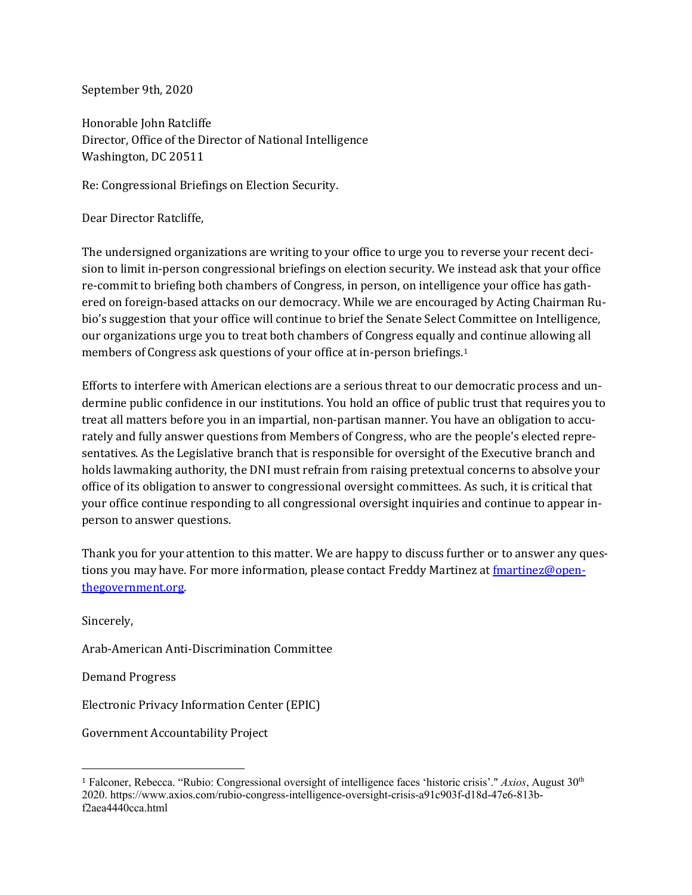September 9th, 2020

Honorable John Ratcliffe Director, Office of the Director of National Intelligence Washington, DC 20511

Re: Congressional Briefings on Election Security.

Dear Director Ratcliffe,

The undersigned organizations are writing to your office to urge you to reverse your recent decision to limit in-person congressional briefings on election security. We instead ask that your office re-commit to briefing both chambers of Congress, in person, on intelligence your office has gathered on foreign-based attacks on our democracy. While we are encouraged by Acting Chairman Rubio's suggestion that your office will continue to brief the Senate Select Committee on Intelligence, our organizations urge you to treat both chambers of Congress equally and continue allowing all members of Congress ask questions of your office at in-person briefings.1

Efforts to interfere with American elections are a serious threat to our democratic process and undermine public confidence in our institutions. You hold an office of public trust that requires you to treat all matters before you in an impartial, non-partisan manner. You have an obligation to accurately and fully answer questions from Members of Congress, who are the people's elected representatives. As the Legislative branch that is responsible for oversight of the Executive branch and holds lawmaking authority, the DNI must refrain from raising pretextual concerns to absolve your office of its obligation to answer to congressional oversight committees. As such, it is critical that your office continue responding to all congressional oversight inquiries and continue to appear inperson to answer questions.

Thank you for your attention to this matter. We are happy to discuss further or to answer any questions you may have. For more information, please contact Freddy Martinez at *fmartinez@open*thegovernment.org.

Sincerely,

Arab-American Anti-Discrimination Committee

Demand Progress

Electronic Privacy Information Center (EPIC)

Government Accountability Project

<sup>1</sup> Falconer, Rebecca. "Rubio: Congressional oversight of intelligence faces 'historic crisis'." *Axios*, August 30th 2020. https://www.axios.com/rubio-congress-intelligence-oversight-crisis-a91c903f-d18d-47e6-813bf2aea4440cca.html